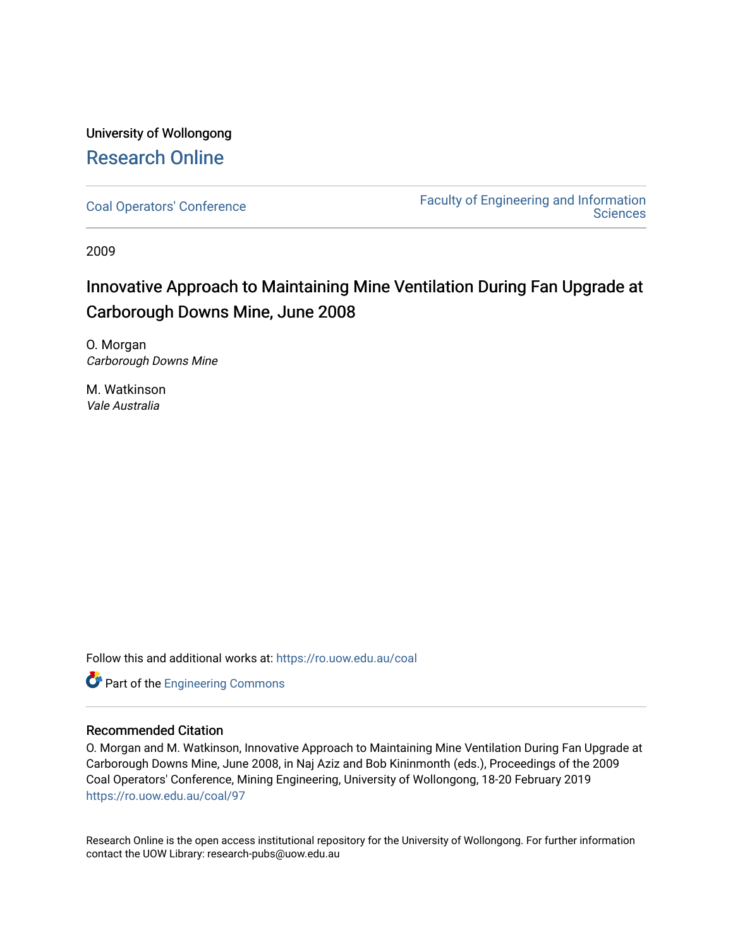# University of Wollongong [Research Online](https://ro.uow.edu.au/)

[Coal Operators' Conference](https://ro.uow.edu.au/coal) [Faculty of Engineering and Information](https://ro.uow.edu.au/eis)  **Sciences** 

2009

# Innovative Approach to Maintaining Mine Ventilation During Fan Upgrade at Carborough Downs Mine, June 2008

O. Morgan Carborough Downs Mine

M. Watkinson Vale Australia

Follow this and additional works at: [https://ro.uow.edu.au/coal](https://ro.uow.edu.au/coal?utm_source=ro.uow.edu.au%2Fcoal%2F97&utm_medium=PDF&utm_campaign=PDFCoverPages) 

**Part of the [Engineering Commons](http://network.bepress.com/hgg/discipline/217?utm_source=ro.uow.edu.au%2Fcoal%2F97&utm_medium=PDF&utm_campaign=PDFCoverPages)** 

# Recommended Citation

O. Morgan and M. Watkinson, Innovative Approach to Maintaining Mine Ventilation During Fan Upgrade at Carborough Downs Mine, June 2008, in Naj Aziz and Bob Kininmonth (eds.), Proceedings of the 2009 Coal Operators' Conference, Mining Engineering, University of Wollongong, 18-20 February 2019 [https://ro.uow.edu.au/coal/97](https://ro.uow.edu.au/coal/97?utm_source=ro.uow.edu.au%2Fcoal%2F97&utm_medium=PDF&utm_campaign=PDFCoverPages) 

Research Online is the open access institutional repository for the University of Wollongong. For further information contact the UOW Library: research-pubs@uow.edu.au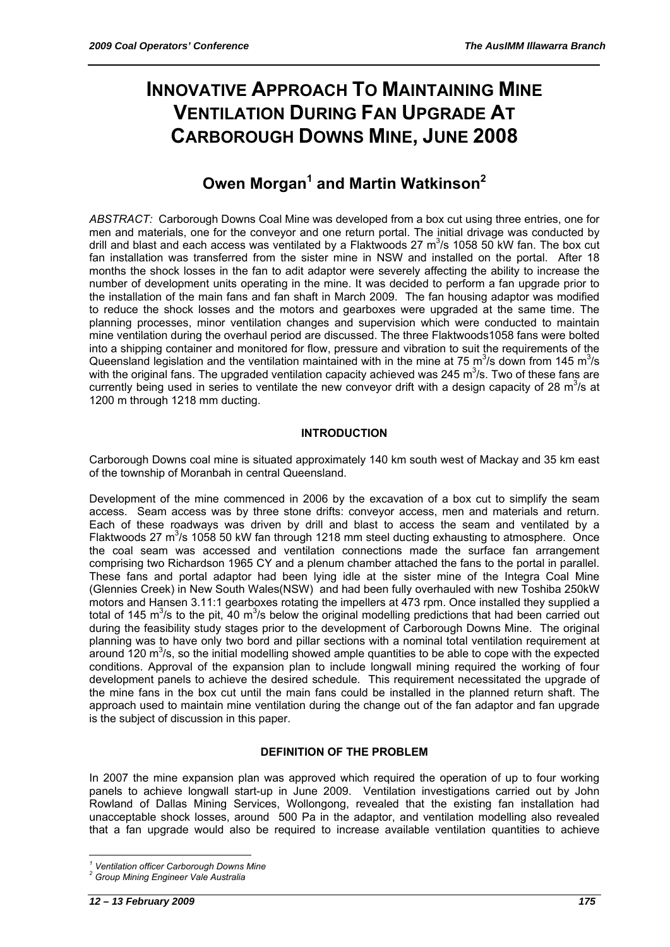# **INNOVATIVE APPROACH TO MAINTAINING MINE VENTILATION DURING FAN UPGRADE AT CARBOROUGH DOWNS MINE, JUNE 2008**

# **Owen Morgan<sup>1</sup> and Martin Watkinson<sup>2</sup>**

*ABSTRACT:* Carborough Downs Coal Mine was developed from a box cut using three entries, one for men and materials, one for the conveyor and one return portal. The initial drivage was conducted by drill and blast and each access was ventilated by a Flaktwoods 27  $\text{m}^3$ /s 1058 50 kW fan. The box cut fan installation was transferred from the sister mine in NSW and installed on the portal. After 18 months the shock losses in the fan to adit adaptor were severely affecting the ability to increase the number of development units operating in the mine. It was decided to perform a fan upgrade prior to the installation of the main fans and fan shaft in March 2009. The fan housing adaptor was modified to reduce the shock losses and the motors and gearboxes were upgraded at the same time. The planning processes, minor ventilation changes and supervision which were conducted to maintain mine ventilation during the overhaul period are discussed. The three Flaktwoods1058 fans were bolted into a shipping container and monitored for flow, pressure and vibration to suit the requirements of the Queensland legislation and the ventilation maintained with in the mine at 75 m<sup>3</sup>/s down from 145 m<sup>3</sup>/s with the original fans. The upgraded ventilation capacity achieved was 245 m<sup>3</sup>/s. Two of these fans are currently being used in series to ventilate the new conveyor drift with a design capacity of 28  $m^3/s$  at 1200 m through 1218 mm ducting.

## **INTRODUCTION**

Carborough Downs coal mine is situated approximately 140 km south west of Mackay and 35 km east of the township of Moranbah in central Queensland.

Development of the mine commenced in 2006 by the excavation of a box cut to simplify the seam access. Seam access was by three stone drifts: conveyor access, men and materials and return. Each of these roadways was driven by drill and blast to access the seam and ventilated by a Flaktwoods 27  $m^3$ /s 1058 50 kW fan through 1218 mm steel ducting exhausting to atmosphere. Once the coal seam was accessed and ventilation connections made the surface fan arrangement comprising two Richardson 1965 CY and a plenum chamber attached the fans to the portal in parallel. These fans and portal adaptor had been lying idle at the sister mine of the Integra Coal Mine (Glennies Creek) in New South Wales(NSW) and had been fully overhauled with new Toshiba 250kW motors and Hansen 3.11:1 gearboxes rotating the impellers at 473 rpm. Once installed they supplied a total of 145 m<sup>3</sup>/s to the pit, 40 m<sup>3</sup>/s below the original modelling predictions that had been carried out during the feasibility study stages prior to the development of Carborough Downs Mine. The original planning was to have only two bord and pillar sections with a nominal total ventilation requirement at around 120  $\text{m}^3$ /s, so the initial modelling showed ample quantities to be able to cope with the expected conditions. Approval of the expansion plan to include longwall mining required the working of four development panels to achieve the desired schedule. This requirement necessitated the upgrade of the mine fans in the box cut until the main fans could be installed in the planned return shaft. The approach used to maintain mine ventilation during the change out of the fan adaptor and fan upgrade is the subject of discussion in this paper.

### **DEFINITION OF THE PROBLEM**

In 2007 the mine expansion plan was approved which required the operation of up to four working panels to achieve longwall start-up in June 2009. Ventilation investigations carried out by John Rowland of Dallas Mining Services, Wollongong, revealed that the existing fan installation had unacceptable shock losses, around 500 Pa in the adaptor, and ventilation modelling also revealed that a fan upgrade would also be required to increase available ventilation quantities to achieve

 *1 Ventilation officer Carborough Downs Mine* 

*<sup>2</sup> Group Mining Engineer Vale Australia*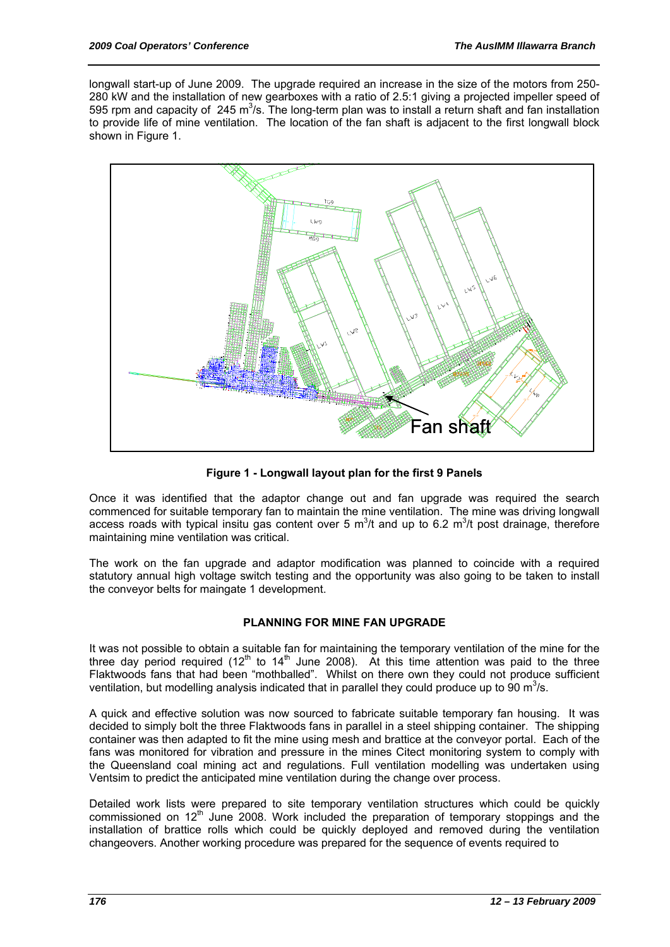longwall start-up of June 2009. The upgrade required an increase in the size of the motors from 250- 280 kW and the installation of new gearboxes with a ratio of 2.5:1 giving a projected impeller speed of 595 rpm and capacity of  $245 \text{ m}^3$ /s. The long-term plan was to install a return shaft and fan installation to provide life of mine ventilation. The location of the fan shaft is adjacent to the first longwall block shown in Figure 1.



**Figure 1 - Longwall layout plan for the first 9 Panels** 

Once it was identified that the adaptor change out and fan upgrade was required the search commenced for suitable temporary fan to maintain the mine ventilation. The mine was driving longwall access roads with typical insitu gas content over 5  $m^3/t$  and up to 6.2  $m^3/t$  post drainage, therefore maintaining mine ventilation was critical.

The work on the fan upgrade and adaptor modification was planned to coincide with a required statutory annual high voltage switch testing and the opportunity was also going to be taken to install the conveyor belts for maingate 1 development.

# **PLANNING FOR MINE FAN UPGRADE**

It was not possible to obtain a suitable fan for maintaining the temporary ventilation of the mine for the three day period required (12<sup>th</sup> to 14<sup>th</sup> June 2008). At this time attention was paid to the three Flaktwoods fans that had been "mothballed". Whilst on there own they could not produce sufficient ventilation, but modelling analysis indicated that in parallel they could produce up to 90 m<sup>3</sup>/s.

A quick and effective solution was now sourced to fabricate suitable temporary fan housing. It was decided to simply bolt the three Flaktwoods fans in parallel in a steel shipping container. The shipping container was then adapted to fit the mine using mesh and brattice at the conveyor portal. Each of the fans was monitored for vibration and pressure in the mines Citect monitoring system to comply with the Queensland coal mining act and regulations. Full ventilation modelling was undertaken using Ventsim to predict the anticipated mine ventilation during the change over process.

Detailed work lists were prepared to site temporary ventilation structures which could be quickly commissioned on 12<sup>th</sup> June 2008. Work included the preparation of temporary stoppings and the installation of brattice rolls which could be quickly deployed and removed during the ventilation changeovers. Another working procedure was prepared for the sequence of events required to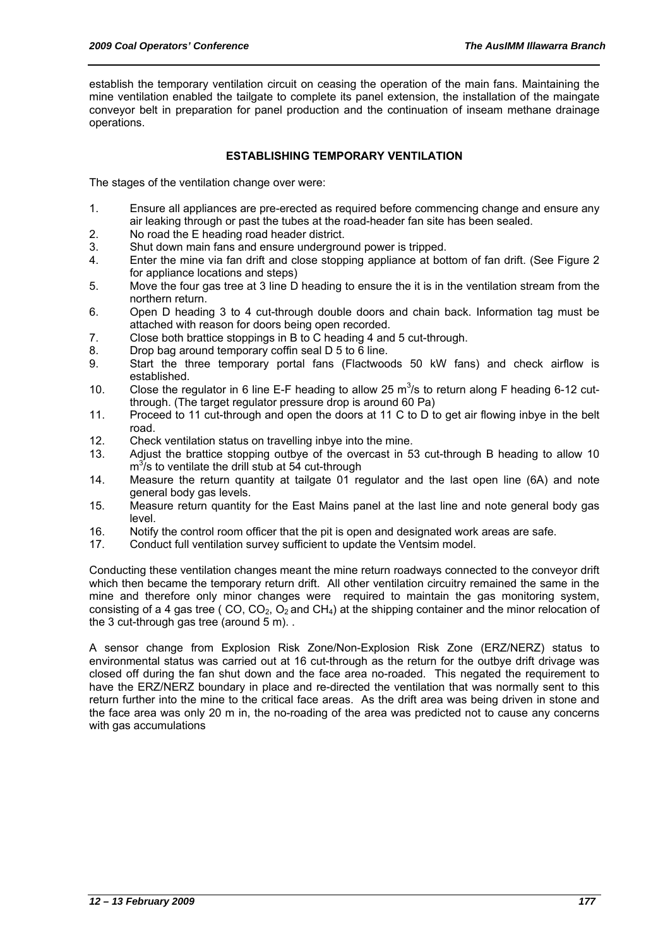establish the temporary ventilation circuit on ceasing the operation of the main fans. Maintaining the mine ventilation enabled the tailgate to complete its panel extension, the installation of the maingate conveyor belt in preparation for panel production and the continuation of inseam methane drainage operations.

## **ESTABLISHING TEMPORARY VENTILATION**

The stages of the ventilation change over were:

- 1. Ensure all appliances are pre-erected as required before commencing change and ensure any air leaking through or past the tubes at the road-header fan site has been sealed.
- 2. No road the E heading road header district.
- 3. Shut down main fans and ensure underground power is tripped.
- 4. Enter the mine via fan drift and close stopping appliance at bottom of fan drift. (See Figure 2 for appliance locations and steps)
- 5. Move the four gas tree at 3 line D heading to ensure the it is in the ventilation stream from the northern return.
- 6. Open D heading 3 to 4 cut-through double doors and chain back. Information tag must be attached with reason for doors being open recorded.
- 7. Close both brattice stoppings in B to C heading 4 and 5 cut-through.
- 8. Drop bag around temporary coffin seal D 5 to 6 line.
- 9. Start the three temporary portal fans (Flactwoods 50 kW fans) and check airflow is established.
- 10. Close the regulator in 6 line E-F heading to allow 25  $m^3/s$  to return along F heading 6-12 cutthrough. (The target regulator pressure drop is around 60 Pa)
- 11. Proceed to 11 cut-through and open the doors at 11 C to D to get air flowing inbye in the belt road.
- 12. Check ventilation status on travelling inbye into the mine.
- 13. Adjust the brattice stopping outbye of the overcast in 53 cut-through B heading to allow 10  $m^3$ /s to ventilate the drill stub at 54 cut-through
- 14. Measure the return quantity at tailgate 01 regulator and the last open line (6A) and note general body gas levels.
- 15. Measure return quantity for the East Mains panel at the last line and note general body gas level.
- 16. Notify the control room officer that the pit is open and designated work areas are safe.
- 17. Conduct full ventilation survey sufficient to update the Ventsim model.

Conducting these ventilation changes meant the mine return roadways connected to the conveyor drift which then became the temporary return drift. All other ventilation circuitry remained the same in the mine and therefore only minor changes were required to maintain the gas monitoring system, consisting of a 4 gas tree ( CO,  $CO<sub>2</sub>$ ,  $O<sub>2</sub>$  and CH<sub>4</sub>) at the shipping container and the minor relocation of the 3 cut-through gas tree (around 5 m)..

A sensor change from Explosion Risk Zone/Non-Explosion Risk Zone (ERZ/NERZ) status to environmental status was carried out at 16 cut-through as the return for the outbye drift drivage was closed off during the fan shut down and the face area no-roaded. This negated the requirement to have the ERZ/NERZ boundary in place and re-directed the ventilation that was normally sent to this return further into the mine to the critical face areas. As the drift area was being driven in stone and the face area was only 20 m in, the no-roading of the area was predicted not to cause any concerns with gas accumulations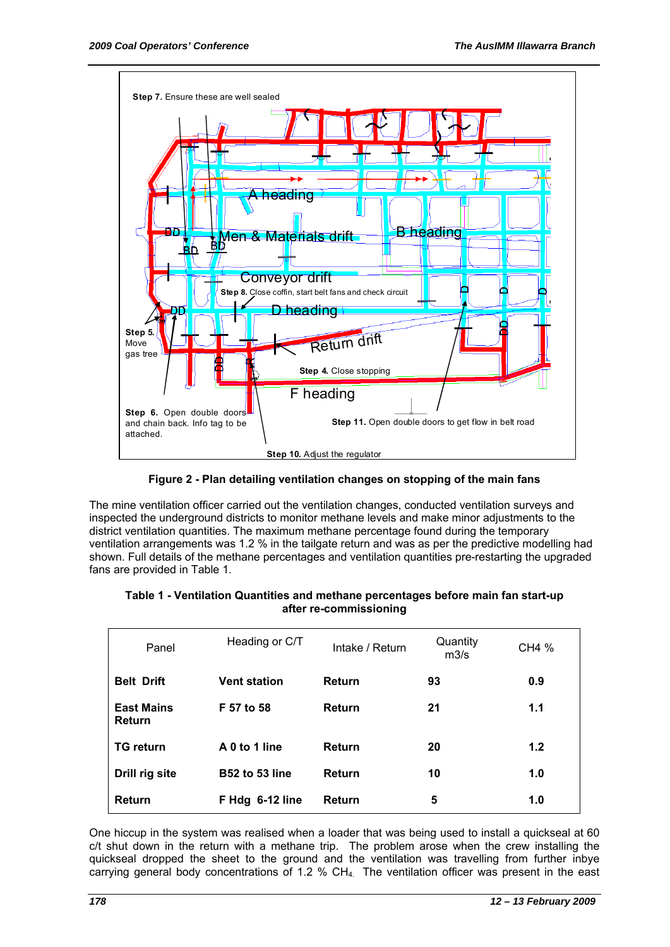

**Figure 2 - Plan detailing ventilation changes on stopping of the main fans** 

The mine ventilation officer carried out the ventilation changes, conducted ventilation surveys and inspected the underground districts to monitor methane levels and make minor adjustments to the district ventilation quantities. The maximum methane percentage found during the temporary ventilation arrangements was 1.2 % in the tailgate return and was as per the predictive modelling had shown. Full details of the methane percentages and ventilation quantities pre-restarting the upgraded fans are provided in Table 1.

### **Table 1 - Ventilation Quantities and methane percentages before main fan start-up after re-commissioning**

| Panel                       | Heading or C/T        | Intake / Return | Quantity<br>m3/s | CH4 % |
|-----------------------------|-----------------------|-----------------|------------------|-------|
| <b>Belt Drift</b>           | <b>Vent station</b>   | Return          | 93               | 0.9   |
| <b>East Mains</b><br>Return | F 57 to 58            | Return          | 21               | 1.1   |
| <b>TG return</b>            | A 0 to 1 line         | Return          | 20               | 1.2   |
| Drill rig site              | <b>B52 to 53 line</b> | Return          | 10               | 1.0   |
| Return                      | F Hdg 6-12 line       | <b>Return</b>   | 5                | 1.0   |

One hiccup in the system was realised when a loader that was being used to install a quickseal at 60 c/t shut down in the return with a methane trip. The problem arose when the crew installing the quickseal dropped the sheet to the ground and the ventilation was travelling from further inbye carrying general body concentrations of 1.2 % CH<sub>4</sub>. The ventilation officer was present in the east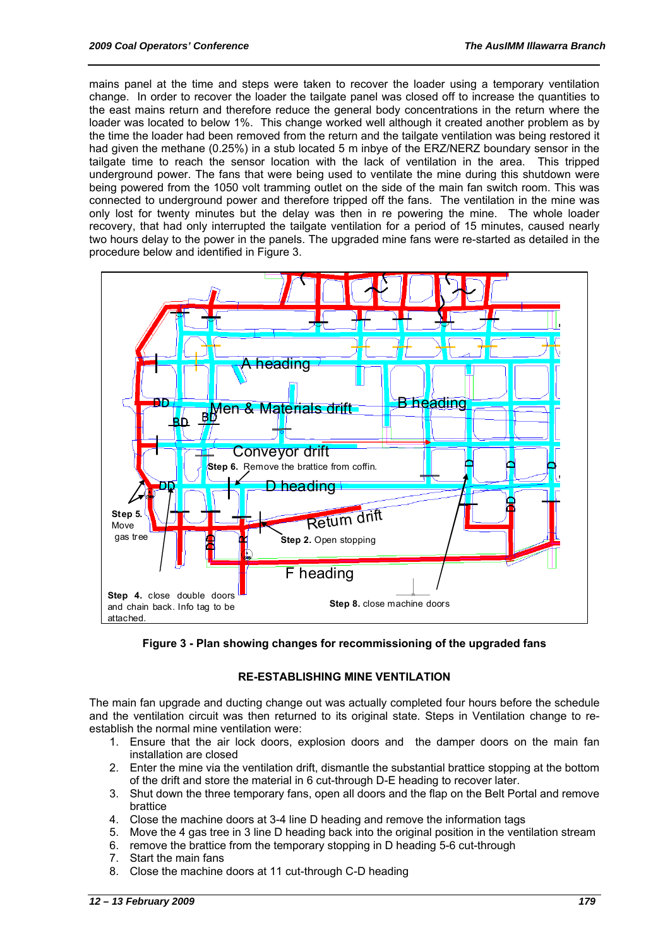mains panel at the time and steps were taken to recover the loader using a temporary ventilation change. In order to recover the loader the tailgate panel was closed off to increase the quantities to the east mains return and therefore reduce the general body concentrations in the return where the loader was located to below 1%. This change worked well although it created another problem as by the time the loader had been removed from the return and the tailgate ventilation was being restored it had given the methane (0.25%) in a stub located 5 m inbye of the ERZ/NERZ boundary sensor in the tailgate time to reach the sensor location with the lack of ventilation in the area. This tripped underground power. The fans that were being used to ventilate the mine during this shutdown were being powered from the 1050 volt tramming outlet on the side of the main fan switch room. This was connected to underground power and therefore tripped off the fans. The ventilation in the mine was only lost for twenty minutes but the delay was then in re powering the mine. The whole loader recovery, that had only interrupted the tailgate ventilation for a period of 15 minutes, caused nearly two hours delay to the power in the panels. The upgraded mine fans were re-started as detailed in the procedure below and identified in Figure 3.



**Figure 3 - Plan showing changes for recommissioning of the upgraded fans** 

### **RE-ESTABLISHING MINE VENTILATION**

The main fan upgrade and ducting change out was actually completed four hours before the schedule and the ventilation circuit was then returned to its original state. Steps in Ventilation change to reestablish the normal mine ventilation were:

- 1. Ensure that the air lock doors, explosion doors and the damper doors on the main fan installation are closed
- 2. Enter the mine via the ventilation drift, dismantle the substantial brattice stopping at the bottom of the drift and store the material in 6 cut-through D-E heading to recover later.
- 3. Shut down the three temporary fans, open all doors and the flap on the Belt Portal and remove brattice
- 4. Close the machine doors at 3-4 line D heading and remove the information tags
- 5. Move the 4 gas tree in 3 line D heading back into the original position in the ventilation stream
- 6. remove the brattice from the temporary stopping in D heading 5-6 cut-through
- 7. Start the main fans
- 8. Close the machine doors at 11 cut-through C-D heading